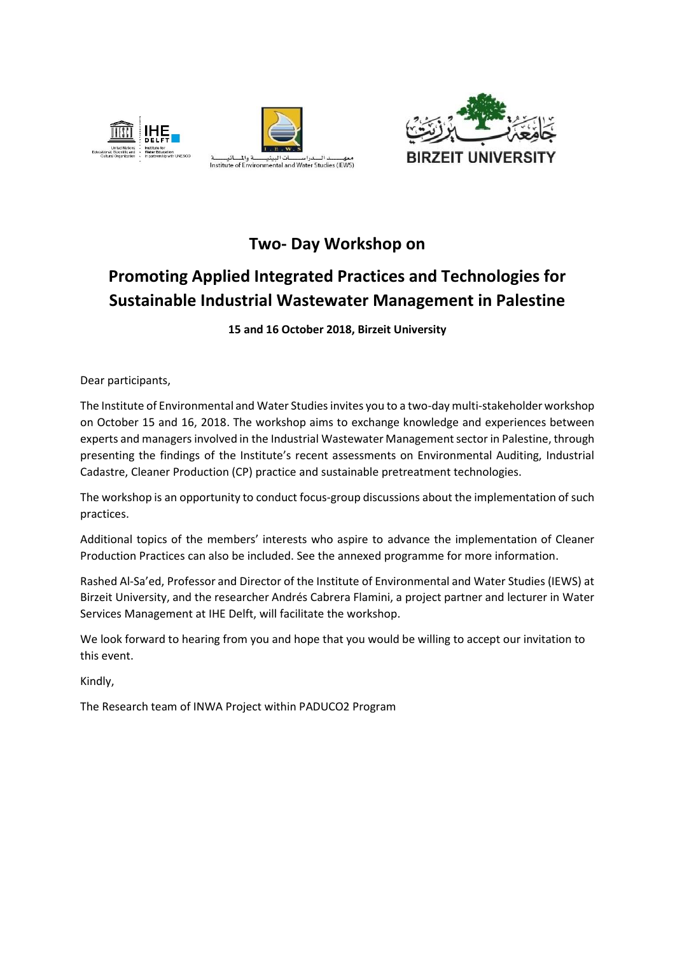





## **Two- Day Workshop on**

## **Promoting Applied Integrated Practices and Technologies for Sustainable Industrial Wastewater Management in Palestine**

**15 and 16 October 2018, Birzeit University**

Dear participants,

The Institute of Environmental and Water Studies invites you to a two-day multi-stakeholder workshop on October 15 and 16, 2018. The workshop aims to exchange knowledge and experiences between experts and managers involved in the Industrial Wastewater Management sector in Palestine, through presenting the findings of the Institute's recent assessments on Environmental Auditing, Industrial Cadastre, Cleaner Production (CP) practice and sustainable pretreatment technologies.

The workshop is an opportunity to conduct focus-group discussions about the implementation of such practices.

Additional topics of the members' interests who aspire to advance the implementation of Cleaner Production Practices can also be included. See the annexed programme for more information.

Rashed Al-Sa'ed, Professor and Director of the Institute of Environmental and Water Studies (IEWS) at Birzeit University, and the researcher Andrés Cabrera Flamini, a project partner and lecturer in Water Services Management at IHE Delft, will facilitate the workshop.

We look forward to hearing from you and hope that you would be willing to accept our invitation to this event.

Kindly,

The Research team of INWA Project within PADUCO2 Program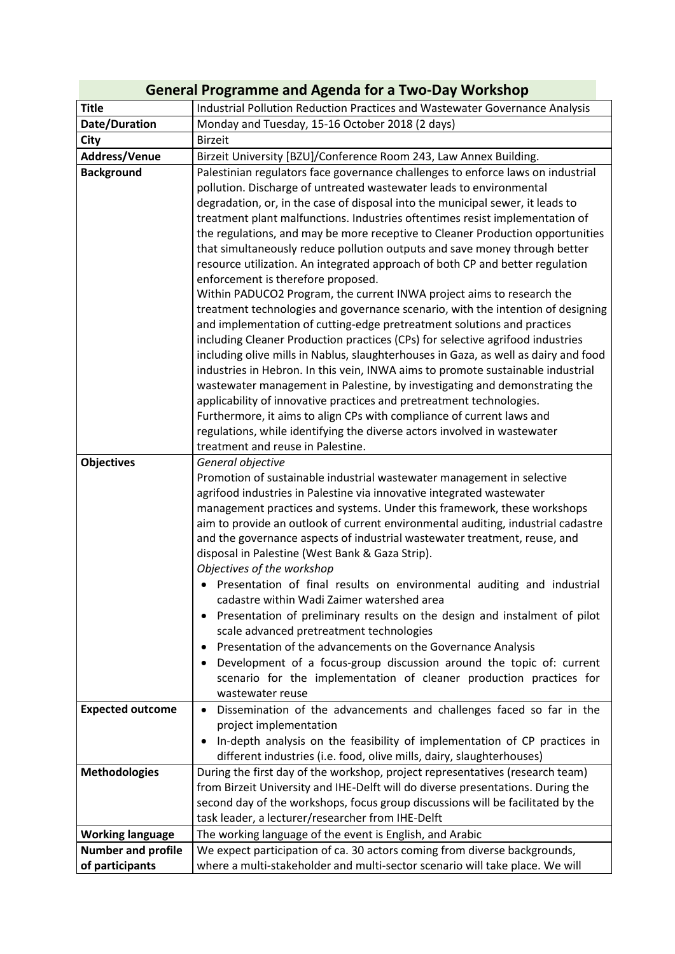| <b>General Programme and Agenda for a Two-Day Workshop</b> |                                                                                                                                                                                                                                                                                                                                                                                                                                                                                                                                                                                                                                                                                                                                                                                                                                                                                                                                                                                                                                                                                                                                                                                                  |  |
|------------------------------------------------------------|--------------------------------------------------------------------------------------------------------------------------------------------------------------------------------------------------------------------------------------------------------------------------------------------------------------------------------------------------------------------------------------------------------------------------------------------------------------------------------------------------------------------------------------------------------------------------------------------------------------------------------------------------------------------------------------------------------------------------------------------------------------------------------------------------------------------------------------------------------------------------------------------------------------------------------------------------------------------------------------------------------------------------------------------------------------------------------------------------------------------------------------------------------------------------------------------------|--|
| <b>Title</b>                                               | Industrial Pollution Reduction Practices and Wastewater Governance Analysis                                                                                                                                                                                                                                                                                                                                                                                                                                                                                                                                                                                                                                                                                                                                                                                                                                                                                                                                                                                                                                                                                                                      |  |
| Date/Duration                                              | Monday and Tuesday, 15-16 October 2018 (2 days)                                                                                                                                                                                                                                                                                                                                                                                                                                                                                                                                                                                                                                                                                                                                                                                                                                                                                                                                                                                                                                                                                                                                                  |  |
| City                                                       | <b>Birzeit</b>                                                                                                                                                                                                                                                                                                                                                                                                                                                                                                                                                                                                                                                                                                                                                                                                                                                                                                                                                                                                                                                                                                                                                                                   |  |
| Address/Venue                                              | Birzeit University [BZU]/Conference Room 243, Law Annex Building.                                                                                                                                                                                                                                                                                                                                                                                                                                                                                                                                                                                                                                                                                                                                                                                                                                                                                                                                                                                                                                                                                                                                |  |
| <b>Background</b>                                          | Palestinian regulators face governance challenges to enforce laws on industrial<br>pollution. Discharge of untreated wastewater leads to environmental<br>degradation, or, in the case of disposal into the municipal sewer, it leads to<br>treatment plant malfunctions. Industries oftentimes resist implementation of<br>the regulations, and may be more receptive to Cleaner Production opportunities<br>that simultaneously reduce pollution outputs and save money through better<br>resource utilization. An integrated approach of both CP and better regulation<br>enforcement is therefore proposed.<br>Within PADUCO2 Program, the current INWA project aims to research the<br>treatment technologies and governance scenario, with the intention of designing<br>and implementation of cutting-edge pretreatment solutions and practices<br>including Cleaner Production practices (CPs) for selective agrifood industries<br>including olive mills in Nablus, slaughterhouses in Gaza, as well as dairy and food<br>industries in Hebron. In this vein, INWA aims to promote sustainable industrial<br>wastewater management in Palestine, by investigating and demonstrating the |  |
|                                                            | applicability of innovative practices and pretreatment technologies.<br>Furthermore, it aims to align CPs with compliance of current laws and<br>regulations, while identifying the diverse actors involved in wastewater<br>treatment and reuse in Palestine.                                                                                                                                                                                                                                                                                                                                                                                                                                                                                                                                                                                                                                                                                                                                                                                                                                                                                                                                   |  |
| <b>Objectives</b>                                          | General objective<br>Promotion of sustainable industrial wastewater management in selective<br>agrifood industries in Palestine via innovative integrated wastewater<br>management practices and systems. Under this framework, these workshops<br>aim to provide an outlook of current environmental auditing, industrial cadastre<br>and the governance aspects of industrial wastewater treatment, reuse, and<br>disposal in Palestine (West Bank & Gaza Strip).<br>Objectives of the workshop<br>Presentation of final results on environmental auditing and industrial<br>cadastre within Wadi Zaimer watershed area<br>Presentation of preliminary results on the design and instalment of pilot<br>scale advanced pretreatment technologies<br>Presentation of the advancements on the Governance Analysis<br>Development of a focus-group discussion around the topic of: current<br>$\bullet$<br>scenario for the implementation of cleaner production practices for<br>wastewater reuse                                                                                                                                                                                                |  |
| <b>Expected outcome</b>                                    | Dissemination of the advancements and challenges faced so far in the<br>$\bullet$<br>project implementation<br>In-depth analysis on the feasibility of implementation of CP practices in<br>$\bullet$<br>different industries (i.e. food, olive mills, dairy, slaughterhouses)                                                                                                                                                                                                                                                                                                                                                                                                                                                                                                                                                                                                                                                                                                                                                                                                                                                                                                                   |  |
| <b>Methodologies</b>                                       | During the first day of the workshop, project representatives (research team)<br>from Birzeit University and IHE-Delft will do diverse presentations. During the<br>second day of the workshops, focus group discussions will be facilitated by the<br>task leader, a lecturer/researcher from IHE-Delft                                                                                                                                                                                                                                                                                                                                                                                                                                                                                                                                                                                                                                                                                                                                                                                                                                                                                         |  |
| <b>Working language</b>                                    | The working language of the event is English, and Arabic                                                                                                                                                                                                                                                                                                                                                                                                                                                                                                                                                                                                                                                                                                                                                                                                                                                                                                                                                                                                                                                                                                                                         |  |
| <b>Number and profile</b><br>of participants               | We expect participation of ca. 30 actors coming from diverse backgrounds,<br>where a multi-stakeholder and multi-sector scenario will take place. We will                                                                                                                                                                                                                                                                                                                                                                                                                                                                                                                                                                                                                                                                                                                                                                                                                                                                                                                                                                                                                                        |  |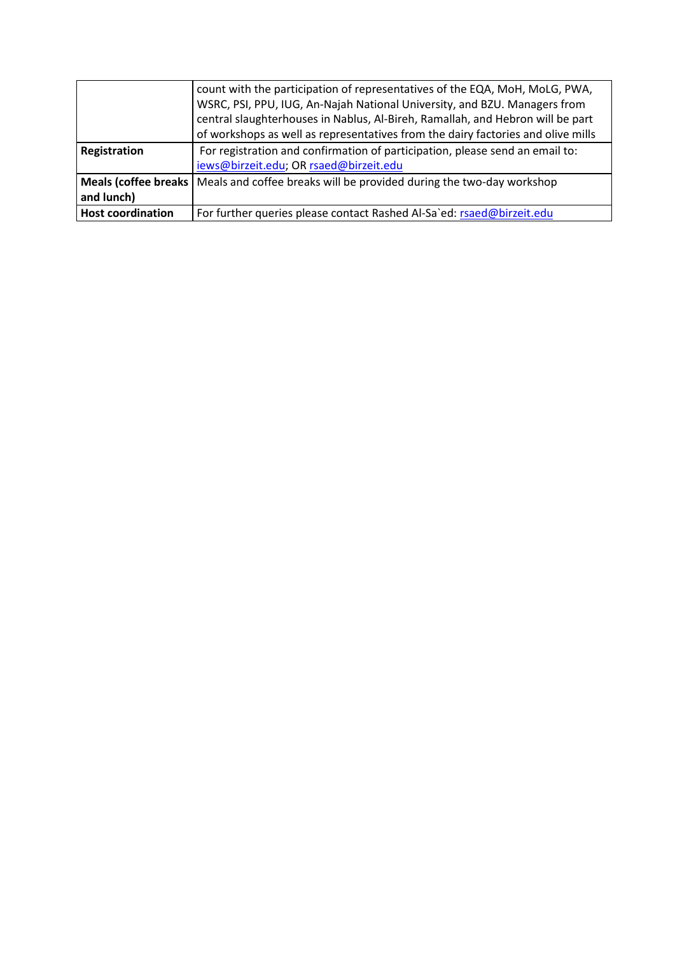|                          | count with the participation of representatives of the EQA, MoH, MoLG, PWA,<br>WSRC, PSI, PPU, IUG, An-Najah National University, and BZU. Managers from<br>central slaughterhouses in Nablus, Al-Bireh, Ramallah, and Hebron will be part |
|--------------------------|--------------------------------------------------------------------------------------------------------------------------------------------------------------------------------------------------------------------------------------------|
|                          | of workshops as well as representatives from the dairy factories and olive mills                                                                                                                                                           |
| Registration             | For registration and confirmation of participation, please send an email to:                                                                                                                                                               |
|                          | iews@birzeit.edu; OR rsaed@birzeit.edu                                                                                                                                                                                                     |
|                          | Meals (coffee breaks   Meals and coffee breaks will be provided during the two-day workshop                                                                                                                                                |
| and lunch)               |                                                                                                                                                                                                                                            |
| <b>Host coordination</b> | For further queries please contact Rashed Al-Sa`ed: rsaed@birzeit.edu                                                                                                                                                                      |